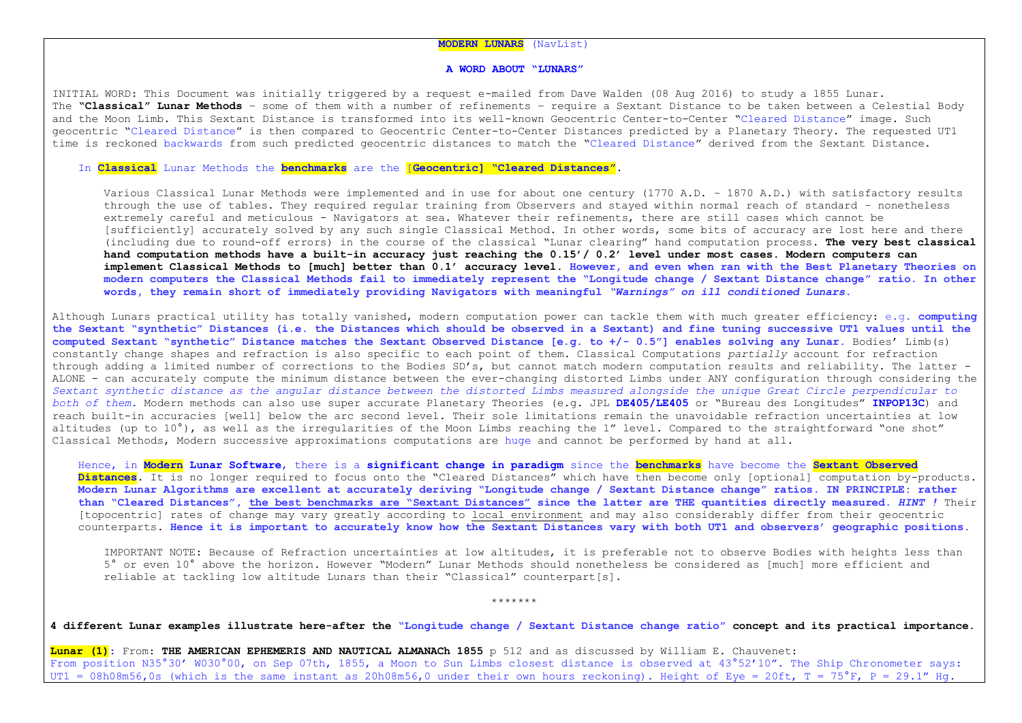## **MODERN LUNARS** (NavList)

## **A WORD ABOUT "LUNARS"**

INITIAL WORD: This Document was initially triggered by a request e-mailed from Dave Walden (08 Aug 2016) to study a 1855 Lunar. The **"Classical" Lunar Methods** – some of them with a number of refinements – require a Sextant Distance to be taken between a Celestial Body and the Moon Limb. This Sextant Distance is transformed into its well-known Geocentric Center-to-Center "Cleared Distance" image. Such geocentric "Cleared Distance" is then compared to Geocentric Center-to-Center Distances predicted by a Planetary Theory. The requested UT1 time is reckoned backwards from such predicted geocentric distances to match the "Cleared Distance" derived from the Sextant Distance.

## In **Classical** Lunar Methods the **benchmarks** are the [**Geocentric] "Cleared Distances"**.

Various Classical Lunar Methods were implemented and in use for about one century (1770 A.D. – 1870 A.D.) with satisfactory results through the use of tables. They required regular training from Observers and stayed within normal reach of standard – nonetheless extremely careful and meticulous - Navigators at sea. Whatever their refinements, there are still cases which cannot be [sufficiently] accurately solved by any such single Classical Method. In other words, some bits of accuracy are lost here and there (including due to round-off errors) in the course of the classical "Lunar clearing" hand computation process. **The very best classical hand computation methods have a built-in accuracy just reaching the 0.15'/ 0.2' level under most cases. Modern computers can implement Classical Methods to [much] better than 0.1' accuracy level. However, and even when ran with the Best Planetary Theories on modern computers the Classical Methods fail to immediately represent the "Longitude change / Sextant Distance change" ratio. In other words, they remain short of immediately providing Navigators with meaningful** *"Warnings" on ill conditioned Lunars***.**

Although Lunars practical utility has totally vanished, modern computation power can tackle them with much greater efficiency: e.g. **computing the Sextant "synthetic" Distances (i.e. the Distances which should be observed in a Sextant) and fine tuning successive UT1 values until the computed Sextant "synthetic" Distance matches the Sextant Observed Distance [e.g. to +/- 0.5"] enables solving any Lunar.** Bodies' Limb(s) constantly change shapes and refraction is also specific to each point of them. Classical Computations *partially* account for refraction through adding a limited number of corrections to the Bodies SD's, but cannot match modern computation results and reliability. The latter - ALONE - can accurately compute the minimum distance between the ever-changing distorted Limbs under ANY configuration through considering the *Sextant synthetic distance as the angular distance between the distorted Limbs measured alongside the unique Great Circle perpendicular to both of them.* Modern methods can also use super accurate Planetary Theories (e.g. JPL **DE405/LE405** or "Bureau des Longitudes" **INPOP13C**) and reach built-in accuracies [well] below the arc second level. Their sole limitations remain the unavoidable refraction uncertainties at low altitudes (up to 10°), as well as the irregularities of the Moon Limbs reaching the 1" level. Compared to the straightforward "one shot" Classical Methods, Modern successive approximations computations are huge and cannot be performed by hand at all.

Hence, in **Modern Lunar Software**, there is a **significant change in paradigm** since the **benchmarks** have become the **Sextant Observed Distances**. It is no longer required to focus onto the "Cleared Distances" which have then become only [optional] computation by-products. **Modern Lunar Algorithms are excellent at accurately deriving "Longitude change / Sextant Distance change" ratios**. **IN PRINCIPLE: rather than "Cleared Distances", the best benchmarks are "Sextant Distances" since the latter are THE quantities directly measured.** *HINT !* Their [topocentric] rates of change may vary greatly according to local environment and may also considerably differ from their geocentric counterparts. **Hence it is important to accurately know how the Sextant Distances vary with both UT1 and observers' geographic positions.**

IMPORTANT NOTE: Because of Refraction uncertainties at low altitudes, it is preferable not to observe Bodies with heights less than 5° or even 10° above the horizon. However "Modern" Lunar Methods should nonetheless be considered as [much] more efficient and reliable at tackling low altitude Lunars than their "Classical" counterpart[s].

\*\*\*\*\*\*\*

**4 different Lunar examples illustrate here-after the "Longitude change / Sextant Distance change ratio" concept and its practical importance.**

**Lunar (1)**: From: **THE AMERICAN EPHEMERIS AND NAUTICAL ALMANACh 1855** p 512 and as discussed by William E. Chauvenet: From position N35°30' W030°00, on Sep 07th, 1855, a Moon to Sun Limbs closest distance is observed at 43°52'10". The Ship Chronometer says: UT1 = 08h08m56,0s (which is the same instant as 20h08m56,0 under their own hours reckoning). Height of Eye = 20ft, T = 75°F, P = 29.1" Hg.